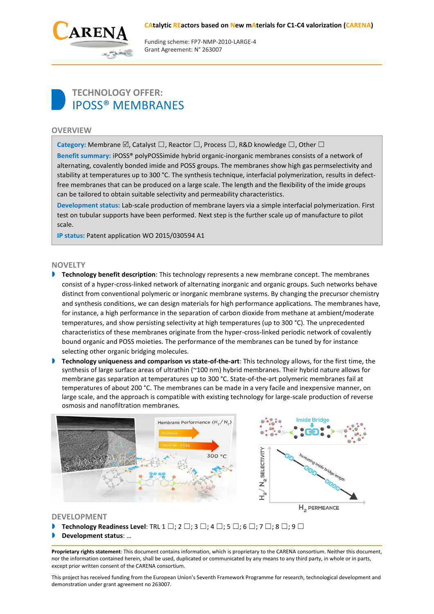#### **CAtalytic REactors based on New mAterials for C1-C4 valorization (CARENA)**



Funding scheme: FP7‐NMP‐2010‐LARGE‐4 Grant Agreement: N° 263007

# **TECHNOLOGY OFFER:** IPOSS® MEMBRANES

## **OVERVIEW**

**Category:** Membrane  $\boxtimes$ , Catalyst  $\square$ , Reactor  $\square$ , Process  $\square$ , R&D knowledge  $\square$ , Other  $\square$ 

**Benefit summary:** iPOSS® polyPOSSimide hybrid organic-inorganic membranes consists of a network of alternating, covalently bonded imide and POSS groups. The membranes show high gas permselectivity and stability at temperatures up to 300 °C. The synthesis technique, interfacial polymerization, results in defectfree membranes that can be produced on a large scale. The length and the flexibility of the imide groups can be tailored to obtain suitable selectivity and permeability characteristics.

**Development status:** Lab-scale production of membrane layers via a simple interfacial polymerization. First test on tubular supports have been performed. Next step is the further scale up of manufacture to pilot scale.

**IP status:** Patent application WO 2015/030594 A1

### **NOVELTY**

- **Technology benefit description**: This technology represents a new membrane concept. The membranes consist of a hyper-cross-linked network of alternating inorganic and organic groups. Such networks behave distinct from conventional polymeric or inorganic membrane systems. By changing the precursor chemistry and synthesis conditions, we can design materials for high performance applications. The membranes have, for instance, a high performance in the separation of carbon dioxide from methane at ambient/moderate temperatures, and show persisting selectivity at high temperatures (up to 300 °C). The unprecedented characteristics of these membranes originate from the hyper-cross-linked periodic network of covalently bound organic and POSS moieties. The performance of the membranes can be tuned by for instance selecting other organic bridging molecules.
- **Technology uniqueness and comparison vs state-of-the-art**: This technology allows, for the first time, the synthesis of large surface areas of ultrathin (~100 nm) hybrid membranes. Their hybrid nature allows for membrane gas separation at temperatures up to 300 °C. State-of-the-art polymeric membranes fail at temperatures of about 200 °C. The membranes can be made in a very facile and inexpensive manner, on large scale, and the approach is compatible with existing technology for large-scale production of reverse osmosis and nanofiltration membranes.



## **DEVELOPMENT**

- **Technology Readiness Level:** TRL 1  $\square$ ; 2  $\square$ ; 3  $\square$ ; 4  $\square$ ; 5  $\square$ ; 6  $\square$ ; 7  $\square$ ; 8  $\square$ ; 9  $\square$
- **Development status**: …

**Proprietary rights statement**: This document contains information, which is proprietary to the CARENA consortium. Neither this document, nor the information contained herein, shall be used, duplicated or communicated by any means to any third party, in whole or in parts, except prior written consent of the CARENA consortium.

This project has received funding from the European Union's Seventh Framework Programme for research, technological development and demonstration under grant agreement no 263007.